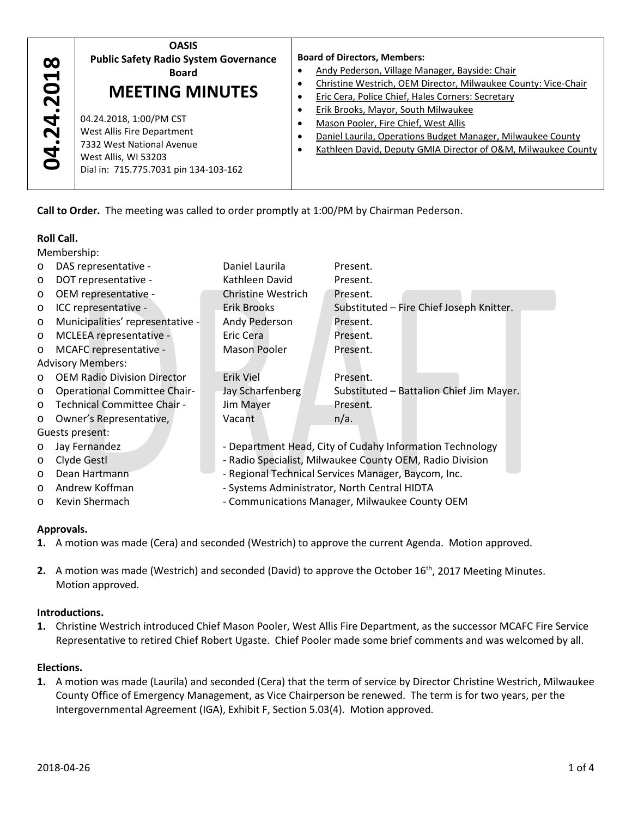| $\boldsymbol{\infty}$<br>$\blacktriangledown$<br>$\bullet$<br>$\bar{\mathbf{N}}$<br>$\overline{\bf 24}$<br><b>bd.</b> | <b>OASIS</b><br><b>Public Safety Radio System Governance</b><br><b>Board</b><br><b>MEETING MINUTES</b><br>04.24.2018, 1:00/PM CST<br>West Allis Fire Department<br>7332 West National Avenue<br>West Allis, WI 53203<br>Dial in: 715.775.7031 pin 134-103-162 | <b>Board of Directors, Members:</b><br>Andy Pederson, Village Manager, Bayside: Chair<br>Christine Westrich, OEM Director, Milwaukee County: Vice-Chair<br>Eric Cera, Police Chief, Hales Corners: Secretary<br><b>Erik Brooks, Mayor, South Milwaukee</b><br>Mason Pooler, Fire Chief, West Allis<br>Daniel Laurila, Operations Budget Manager, Milwaukee County<br>Kathleen David, Deputy GMIA Director of O&M, Milwaukee County |
|-----------------------------------------------------------------------------------------------------------------------|---------------------------------------------------------------------------------------------------------------------------------------------------------------------------------------------------------------------------------------------------------------|------------------------------------------------------------------------------------------------------------------------------------------------------------------------------------------------------------------------------------------------------------------------------------------------------------------------------------------------------------------------------------------------------------------------------------|
|-----------------------------------------------------------------------------------------------------------------------|---------------------------------------------------------------------------------------------------------------------------------------------------------------------------------------------------------------------------------------------------------------|------------------------------------------------------------------------------------------------------------------------------------------------------------------------------------------------------------------------------------------------------------------------------------------------------------------------------------------------------------------------------------------------------------------------------------|

## **Roll Call.**

|                   | Board<br><b>MEETING MINUTES</b>                                                 |                                                                                                             | <u>Alluy Feuerson, village ividitaget, baysiue. Chall</u><br>Christine Westrich, OEM Director, Milwaukee County: \<br>$\bullet$ |  |  |
|-------------------|---------------------------------------------------------------------------------|-------------------------------------------------------------------------------------------------------------|---------------------------------------------------------------------------------------------------------------------------------|--|--|
|                   |                                                                                 |                                                                                                             |                                                                                                                                 |  |  |
|                   |                                                                                 | $\bullet$                                                                                                   | Eric Cera, Police Chief, Hales Corners: Secretary                                                                               |  |  |
| 04.24.201         | 04.24.2018, 1:00/PM CST                                                         | $\bullet$                                                                                                   | Erik Brooks, Mayor, South Milwaukee                                                                                             |  |  |
|                   | West Allis Fire Department                                                      | $\bullet$                                                                                                   | Mason Pooler, Fire Chief, West Allis                                                                                            |  |  |
|                   | 7332 West National Avenue                                                       | $\bullet$                                                                                                   | Daniel Laurila, Operations Budget Manager, Milwaukee                                                                            |  |  |
|                   | West Allis, WI 53203                                                            | $\bullet$                                                                                                   | Kathleen David, Deputy GMIA Director of O&M, Milwau                                                                             |  |  |
|                   | Dial in: 715.775.7031 pin 134-103-162                                           |                                                                                                             |                                                                                                                                 |  |  |
|                   |                                                                                 |                                                                                                             |                                                                                                                                 |  |  |
|                   |                                                                                 |                                                                                                             |                                                                                                                                 |  |  |
|                   |                                                                                 |                                                                                                             | Call to Order. The meeting was called to order promptly at 1:00/PM by Chairman Pederson.                                        |  |  |
|                   |                                                                                 |                                                                                                             |                                                                                                                                 |  |  |
| <b>Roll Call.</b> |                                                                                 |                                                                                                             |                                                                                                                                 |  |  |
|                   | Membership:                                                                     |                                                                                                             |                                                                                                                                 |  |  |
| $\circ$           | DAS representative -                                                            | Daniel Laurila                                                                                              | Present.                                                                                                                        |  |  |
| $\circ$           | DOT representative -                                                            | Kathleen David                                                                                              | Present.                                                                                                                        |  |  |
| O                 | OEM representative -                                                            | <b>Christine Westrich</b>                                                                                   | Present.                                                                                                                        |  |  |
| O                 | ICC representative -                                                            | <b>Erik Brooks</b>                                                                                          | Substituted - Fire Chief Joseph Knitter.                                                                                        |  |  |
| $\circ$           | Municipalities' representative -                                                | Andy Pederson                                                                                               | Present.                                                                                                                        |  |  |
| $\circ$           | MCLEEA representative -                                                         | Eric Cera                                                                                                   | Present.                                                                                                                        |  |  |
| $\circ$           | MCAFC representative -                                                          | Mason Pooler                                                                                                | Present.                                                                                                                        |  |  |
|                   | <b>Advisory Members:</b>                                                        |                                                                                                             |                                                                                                                                 |  |  |
| $\circ$           | <b>OEM Radio Division Director</b>                                              | Erik Viel                                                                                                   | Present.                                                                                                                        |  |  |
| $\circ$           | <b>Operational Committee Chair-</b>                                             | Jay Scharfenberg                                                                                            | Substituted - Battalion Chief Jim Mayer.                                                                                        |  |  |
| $\circ$           | Technical Committee Chair -                                                     | Jim Mayer                                                                                                   | Present.                                                                                                                        |  |  |
| O                 | Owner's Representative,                                                         | Vacant                                                                                                      | $n/a$ .                                                                                                                         |  |  |
|                   | Guests present:                                                                 |                                                                                                             |                                                                                                                                 |  |  |
| $\circ$           | Jay Fernandez                                                                   |                                                                                                             | - Department Head, City of Cudahy Information Technology                                                                        |  |  |
| $\circ$           | Clyde Gestl                                                                     |                                                                                                             | - Radio Specialist, Milwaukee County OEM, Radio Division                                                                        |  |  |
| $\circ$           | Dean Hartmann                                                                   |                                                                                                             | - Regional Technical Services Manager, Baycom, Inc.                                                                             |  |  |
| O                 | Andrew Koffman                                                                  | - Systems Administrator, North Central HIDTA                                                                |                                                                                                                                 |  |  |
| $\circ$           | Kevin Shermach                                                                  | - Communications Manager, Milwaukee County OEM                                                              |                                                                                                                                 |  |  |
|                   |                                                                                 |                                                                                                             |                                                                                                                                 |  |  |
| Approvals.        |                                                                                 |                                                                                                             |                                                                                                                                 |  |  |
|                   |                                                                                 |                                                                                                             | 1. A motion was made (Cera) and seconded (Westrich) to approve the current Agenda. Motion approved.                             |  |  |
|                   |                                                                                 |                                                                                                             |                                                                                                                                 |  |  |
|                   |                                                                                 |                                                                                                             | 2. A motion was made (Westrich) and seconded (David) to approve the October 16 <sup>th</sup> , 2017 Meeting Minutes.            |  |  |
|                   | Motion approved.                                                                |                                                                                                             |                                                                                                                                 |  |  |
|                   |                                                                                 |                                                                                                             |                                                                                                                                 |  |  |
|                   | Introductions.                                                                  |                                                                                                             |                                                                                                                                 |  |  |
|                   |                                                                                 | 1. Christine Westrich introduced Chief Mason Pooler, West Allis Fire Department, as the successor MCAFC Fir |                                                                                                                                 |  |  |
|                   |                                                                                 |                                                                                                             | Representative to retired Chief Robert Ugaste. Chief Pooler made some brief comments and was welcome                            |  |  |
|                   |                                                                                 |                                                                                                             |                                                                                                                                 |  |  |
| Elections.        |                                                                                 |                                                                                                             |                                                                                                                                 |  |  |
|                   |                                                                                 |                                                                                                             | 1. A motion was made (Laurila) and seconded (Cera) that the term of service by Director Christine Westrich, I                   |  |  |
|                   |                                                                                 | County Office of Emergency Management, as Vice Chairperson be renewed. The term is for two years, per       |                                                                                                                                 |  |  |
|                   | Intergovernmental Agreement (IGA), Exhibit F, Section 5.03(4). Motion approved. |                                                                                                             |                                                                                                                                 |  |  |

### **Approvals.**

- **1.** A motion was made (Cera) and seconded (Westrich) to approve the current Agenda. Motion approved.
- 2. A motion was made (Westrich) and seconded (David) to approve the October 16<sup>th</sup>, 2017 Meeting Minutes. Motion approved.

### **Introductions.**

**1.** Christine Westrich introduced Chief Mason Pooler, West Allis Fire Department, as the successor MCAFC Fire Service Representative to retired Chief Robert Ugaste. Chief Pooler made some brief comments and was welcomed by all.

### **Elections.**

**1.** A motion was made (Laurila) and seconded (Cera) that the term of service by Director Christine Westrich, Milwaukee County Office of Emergency Management, as Vice Chairperson be renewed. The term is for two years, per the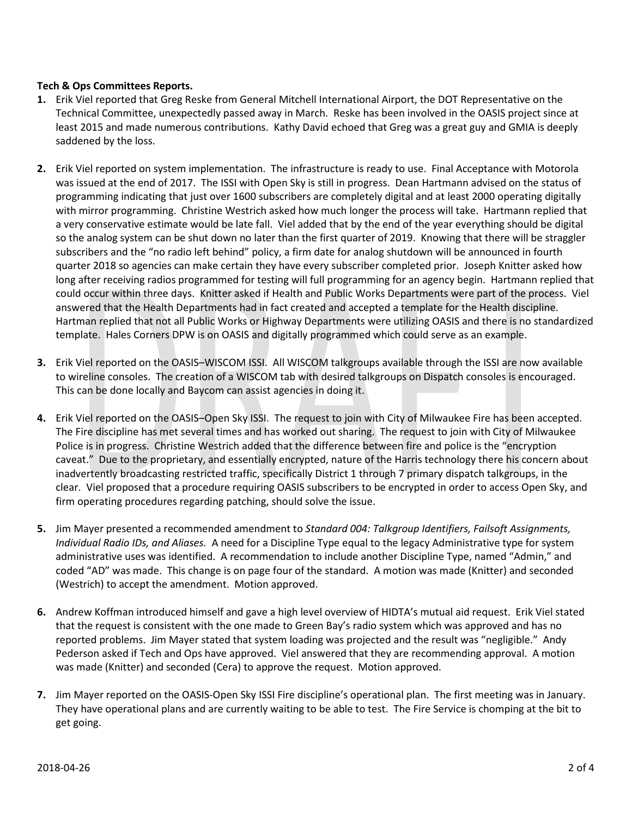# **Tech & Ops Committees Reports.**

- **1.** Erik Viel reported that Greg Reske from General Mitchell International Airport, the DOT Representative on the Technical Committee, unexpectedly passed away in March. Reske has been involved in the OASIS project since at least 2015 and made numerous contributions. Kathy David echoed that Greg was a great guy and GMIA is deeply saddened by the loss.
- **2.** Erik Viel reported on system implementation. The infrastructure is ready to use. Final Acceptance with Motorola was issued at the end of 2017. The ISSI with Open Sky is still in progress. Dean Hartmann advised on the status of programming indicating that just over 1600 subscribers are completely digital and at least 2000 operating digitally with mirror programming. Christine Westrich asked how much longer the process will take. Hartmann replied that a very conservative estimate would be late fall. Viel added that by the end of the year everything should be digital so the analog system can be shut down no later than the first quarter of 2019. Knowing that there will be straggler subscribers and the "no radio left behind" policy, a firm date for analog shutdown will be announced in fourth quarter 2018 so agencies can make certain they have every subscriber completed prior. Joseph Knitter asked how long after receiving radios programmed for testing will full programming for an agency begin. Hartmann replied that could occur within three days. Knitter asked if Health and Public Works Departments were part of the process. Viel answered that the Health Departments had in fact created and accepted a template for the Health discipline. Hartman replied that not all Public Works or Highway Departments were utilizing OASIS and there is no standardized template. Hales Corners DPW is on OASIS and digitally programmed which could serve as an example.
- **3.** Erik Viel reported on the OASIS–WISCOM ISSI. All WISCOM talkgroups available through the ISSI are now available to wireline consoles. The creation of a WISCOM tab with desired talkgroups on Dispatch consoles is encouraged. This can be done locally and Baycom can assist agencies in doing it.
- **4.** Erik Viel reported on the OASIS–Open Sky ISSI. The request to join with City of Milwaukee Fire has been accepted. The Fire discipline has met several times and has worked out sharing. The request to join with City of Milwaukee Police is in progress. Christine Westrich added that the difference between fire and police is the "encryption caveat." Due to the proprietary, and essentially encrypted, nature of the Harris technology there his concern about inadvertently broadcasting restricted traffic, specifically District 1 through 7 primary dispatch talkgroups, in the clear. Viel proposed that a procedure requiring OASIS subscribers to be encrypted in order to access Open Sky, and firm operating procedures regarding patching, should solve the issue.
- **5.** Jim Mayer presented a recommended amendment to *Standard 004: Talkgroup Identifiers, Failsoft Assignments, Individual Radio IDs, and Aliases.* A need for a Discipline Type equal to the legacy Administrative type for system administrative uses was identified. A recommendation to include another Discipline Type, named "Admin," and coded "AD" was made. This change is on page four of the standard. A motion was made (Knitter) and seconded (Westrich) to accept the amendment. Motion approved.
- **6.** Andrew Koffman introduced himself and gave a high level overview of HIDTA's mutual aid request. Erik Viel stated that the request is consistent with the one made to Green Bay's radio system which was approved and has no reported problems. Jim Mayer stated that system loading was projected and the result was "negligible." Andy Pederson asked if Tech and Ops have approved. Viel answered that they are recommending approval. A motion was made (Knitter) and seconded (Cera) to approve the request. Motion approved.
- **7.** Jim Mayer reported on the OASIS-Open Sky ISSI Fire discipline's operational plan. The first meeting was in January. They have operational plans and are currently waiting to be able to test. The Fire Service is chomping at the bit to get going.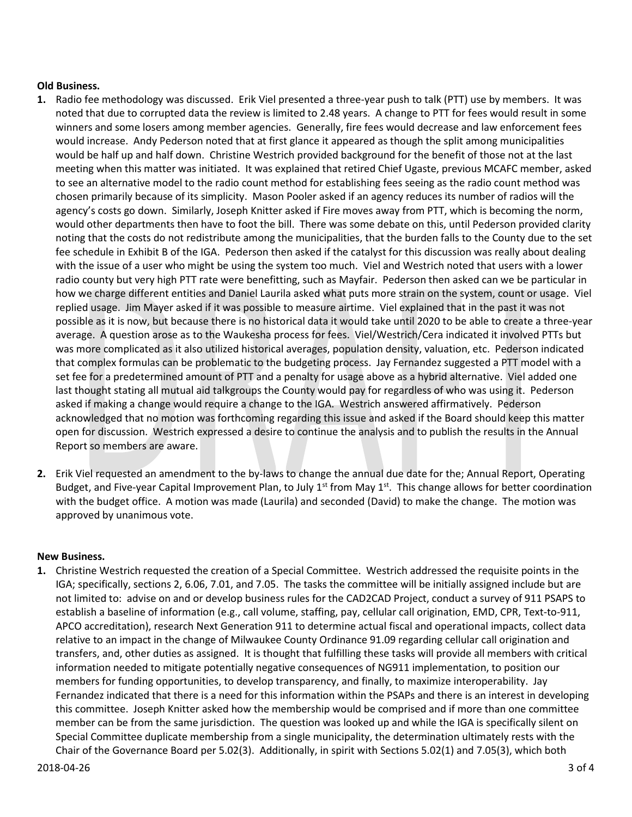## **Old Business.**

- **1.** Radio fee methodology was discussed. Erik Viel presented a three-year push to talk (PTT) use by members. It was noted that due to corrupted data the review is limited to 2.48 years. A change to PTT for fees would result in some winners and some losers among member agencies. Generally, fire fees would decrease and law enforcement fees would increase. Andy Pederson noted that at first glance it appeared as though the split among municipalities would be half up and half down. Christine Westrich provided background for the benefit of those not at the last meeting when this matter was initiated. It was explained that retired Chief Ugaste, previous MCAFC member, asked to see an alternative model to the radio count method for establishing fees seeing as the radio count method was chosen primarily because of its simplicity. Mason Pooler asked if an agency reduces its number of radios will the agency's costs go down. Similarly, Joseph Knitter asked if Fire moves away from PTT, which is becoming the norm, would other departments then have to foot the bill. There was some debate on this, until Pederson provided clarity noting that the costs do not redistribute among the municipalities, that the burden falls to the County due to the set fee schedule in Exhibit B of the IGA. Pederson then asked if the catalyst for this discussion was really about dealing with the issue of a user who might be using the system too much. Viel and Westrich noted that users with a lower radio county but very high PTT rate were benefitting, such as Mayfair. Pederson then asked can we be particular in how we charge different entities and Daniel Laurila asked what puts more strain on the system, count or usage. Viel replied usage. Jim Mayer asked if it was possible to measure airtime. Viel explained that in the past it was not possible as it is now, but because there is no historical data it would take until 2020 to be able to create a three-year average. A question arose as to the Waukesha process for fees. Viel/Westrich/Cera indicated it involved PTTs but was more complicated as it also utilized historical averages, population density, valuation, etc. Pederson indicated that complex formulas can be problematic to the budgeting process. Jay Fernandez suggested a PTT model with a set fee for a predetermined amount of PTT and a penalty for usage above as a hybrid alternative. Viel added one last thought stating all mutual aid talkgroups the County would pay for regardless of who was using it. Pederson asked if making a change would require a change to the IGA. Westrich answered affirmatively. Pederson acknowledged that no motion was forthcoming regarding this issue and asked if the Board should keep this matter open for discussion. Westrich expressed a desire to continue the analysis and to publish the results in the Annual Report so members are aware.
- **2.** Erik Viel requested an amendment to the by-laws to change the annual due date for the; Annual Report, Operating Budget, and Five-year Capital Improvement Plan, to July  $1<sup>st</sup>$  from May  $1<sup>st</sup>$ . This change allows for better coordination with the budget office. A motion was made (Laurila) and seconded (David) to make the change. The motion was approved by unanimous vote.

### **New Business.**

**1.** Christine Westrich requested the creation of a Special Committee. Westrich addressed the requisite points in the IGA; specifically, sections 2, 6.06, 7.01, and 7.05. The tasks the committee will be initially assigned include but are not limited to: advise on and or develop business rules for the CAD2CAD Project, conduct a survey of 911 PSAPS to establish a baseline of information (e.g., call volume, staffing, pay, cellular call origination, EMD, CPR, Text-to-911, APCO accreditation), research Next Generation 911 to determine actual fiscal and operational impacts, collect data relative to an impact in the change of Milwaukee County Ordinance 91.09 regarding cellular call origination and transfers, and, other duties as assigned. It is thought that fulfilling these tasks will provide all members with critical information needed to mitigate potentially negative consequences of NG911 implementation, to position our members for funding opportunities, to develop transparency, and finally, to maximize interoperability. Jay Fernandez indicated that there is a need for this information within the PSAPs and there is an interest in developing this committee. Joseph Knitter asked how the membership would be comprised and if more than one committee member can be from the same jurisdiction. The question was looked up and while the IGA is specifically silent on Special Committee duplicate membership from a single municipality, the determination ultimately rests with the Chair of the Governance Board per 5.02(3). Additionally, in spirit with Sections 5.02(1) and 7.05(3), which both